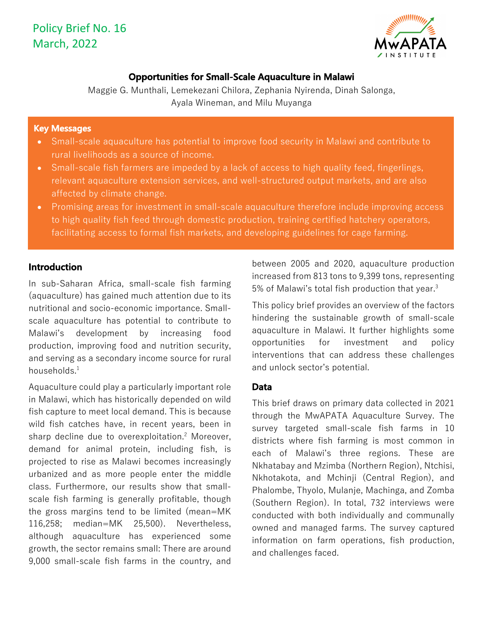

## **Opportunities for Small-Scale Aquaculture in Malawi**

Maggie G. Munthali, Lemekezani Chilora, Zephania Nyirenda, Dinah Salonga, Ayala Wineman, and Milu Muyanga

### **Key Messages**

- Small-scale aquaculture has potential to improve food security in Malawi and contribute to rural livelihoods as a source of income.
- Small-scale fish farmers are impeded by a lack of access to high quality feed, fingerlings, relevant aquaculture extension services, and well-structured output markets, and are also affected by climate change.
- Promising areas for investment in small-scale aquaculture therefore include improving access to high quality fish feed through domestic production, training certified hatchery operators, facilitating access to formal fish markets, and developing guidelines for cage farming.

## **Introduction**

In sub-Saharan Africa, small-scale fish farming (aquaculture) has gained much attention due to its nutritional and socio-economic importance. Smallscale aquaculture has potential to contribute to Malawi's development by increasing food production, improving food and nutrition security, and serving as a secondary income source for rural households. $^1$ 

Aquaculture could play a particularly important role in Malawi, which has historically depended on wild fish capture to meet local demand. This is because wild fish catches have, in recent years, been in sharp decline due to overexploitation. <sup>2</sup> Moreover, demand for animal protein, including fish, is projected to rise as Malawi becomes increasingly urbanized and as more people enter the middle class. Furthermore, our results show that smallscale fish farming is generally profitable, though the gross margins tend to be limited (mean=MK 116,258; median=MK 25,500). Nevertheless, although aquaculture has experienced some growth, the sector remains small: There are around 9,000 small-scale fish farms in the country, and

between 2005 and 2020, aquaculture production increased from 813 tons to 9,399 tons, representing 5% of Malawi's total fish production that year.<sup>3</sup>

This policy brief provides an overview of the factors hindering the sustainable growth of small-scale aquaculture in Malawi. It further highlights some opportunities for investment and policy interventions that can address these challenges and unlock sector's potential.

## **Data**

This brief draws on primary data collected in 2021 through the MwAPATA Aquaculture Survey. The survey targeted small-scale fish farms in 10 districts where fish farming is most common in each of Malawi's three regions. These are Nkhatabay and Mzimba (Northern Region), Ntchisi, Nkhotakota, and Mchinji (Central Region), and Phalombe, Thyolo, Mulanje, Machinga, and Zomba (Southern Region). In total, 732 interviews were conducted with both individually and communally owned and managed farms. The survey captured information on farm operations, fish production, and challenges faced.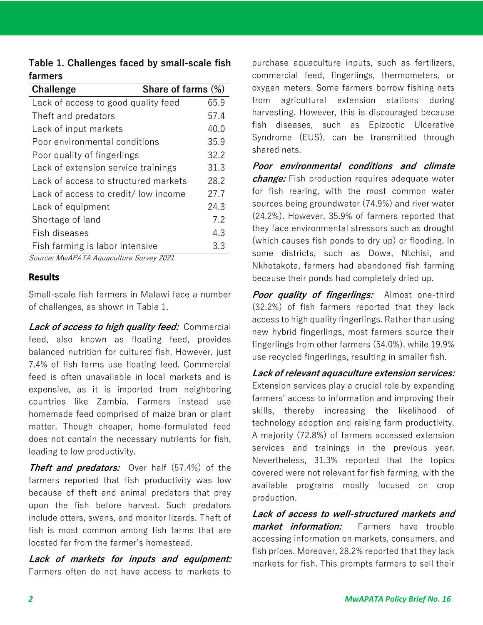| Table 1. Challenges faced by small-scale fish |  |  |
|-----------------------------------------------|--|--|
| farmers                                       |  |  |

| Share of farms (%)                           |  |  |
|----------------------------------------------|--|--|
| 65.9                                         |  |  |
| 57.4                                         |  |  |
| 40.0                                         |  |  |
| 35.9                                         |  |  |
| 32.2                                         |  |  |
| 31.3                                         |  |  |
| 28.2<br>Lack of access to structured markets |  |  |
| 27.7<br>Lack of access to credit/ low income |  |  |
| 24.3                                         |  |  |
| 7.2                                          |  |  |
| 4.3                                          |  |  |
| 3.3                                          |  |  |
|                                              |  |  |

Source: MwAPATA Aquaculture Survey 2021

#### **Results**

Small-scale fish farmers in Malawi face a number of challenges, as shown in Table 1.

**Lack of access to high quality feed:** Commercial feed, also known as floating feed, provides balanced nutrition for cultured fish. However, just 7.4% of fish farms use floating feed. Commercial feed is often unavailable in local markets and is expensive, as it is imported from neighboring countries like Zambia. Farmers instead use homemade feed comprised of maize bran or plant matter. Though cheaper, home-formulated feed does not contain the necessary nutrients for fish, leading to low productivity.

**Theft and predators:** Over half (57.4%) of the farmers reported that fish productivity was low because of theft and animal predators that prey upon the fish before harvest. Such predators include otters, swans, and monitor lizards. Theft of fish is most common among fish farms that are located far from the farmer's homestead.

**Lack of markets for inputs and equipment:**  Farmers often do not have access to markets to

purchase aquaculture inputs, such as fertilizers, commercial feed, fingerlings, thermometers, or oxygen meters. Some farmers borrow fishing nets from agricultural extension stations during harvesting. However, this is discouraged because fish diseases, such as Epizootic Ulcerative Syndrome (EUS), can be transmitted through shared nets.

**Poor environmental conditions and climate change:** Fish production requires adequate water for fish rearing, with the most common water sources being groundwater (74.9%) and river water (24.2%). However, 35.9% of farmers reported that they face environmental stressors such as drought (which causes fish ponds to dry up) or flooding. In some districts, such as Dowa, Ntchisi, and Nkhotakota, farmers had abandoned fish farming because their ponds had completely dried up.

**Poor quality of fingerlings:** Almost one-third (32.2%) of fish farmers reported that they lack access to high quality fingerlings. Rather than using new hybrid fingerlings, most farmers source their fingerlings from other farmers (54.0%), while 19.9% use recycled fingerlings, resulting in smaller fish.

**Lack of relevant aquaculture extension services:** Extension services play a crucial role by expanding farmers' access to information and improving their skills, thereby increasing the likelihood of technology adoption and raising farm productivity. A majority (72.8%) of farmers accessed extension services and trainings in the previous year. Nevertheless, 31.3% reported that the topics covered were not relevant for fish farming, with the available programs mostly focused on crop production.

**Lack of access to well-structured markets and market information:** Farmers have trouble accessing information on markets, consumers, and fish prices. Moreover, 28.2% reported that they lack markets for fish. This prompts farmers to sell their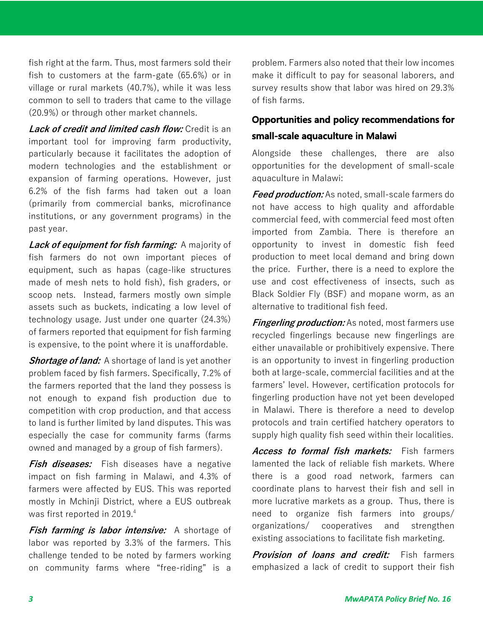fish right at the farm. Thus, most farmers sold their fish to customers at the farm-gate (65.6%) or in village or rural markets (40.7%), while it was less common to sell to traders that came to the village (20.9%) or through other market channels.

**Lack of credit and limited cash flow:** Credit is an important tool for improving farm productivity, particularly because it facilitates the adoption of modern technologies and the establishment or expansion of farming operations. However, just 6.2% of the fish farms had taken out a loan (primarily from commercial banks, microfinance institutions, or any government programs) in the past year.

**Lack of equipment for fish farming:** A majority of fish farmers do not own important pieces of equipment, such as hapas (cage-like structures made of mesh nets to hold fish), fish graders, or scoop nets. Instead, farmers mostly own simple assets such as buckets, indicating a low level of technology usage. Just under one quarter (24.3%) of farmers reported that equipment for fish farming is expensive, to the point where it is unaffordable.

**Shortage of land:** A shortage of land is yet another problem faced by fish farmers. Specifically, 7.2% of the farmers reported that the land they possess is not enough to expand fish production due to competition with crop production, and that access to land is further limited by land disputes. This was especially the case for community farms (farms owned and managed by a group of fish farmers).

**Fish diseases:** Fish diseases have a negative impact on fish farming in Malawi, and 4.3% of farmers were affected by EUS. This was reported mostly in Mchinji District, where a EUS outbreak was first reported in 2019.4

**Fish farming is labor intensive:** A shortage of labor was reported by 3.3% of the farmers. This challenge tended to be noted by farmers working on community farms where "free-riding" is a

problem. Farmers also noted that their low incomes make it difficult to pay for seasonal laborers, and survey results show that labor was hired on 29.3% of fish farms.

# **Opportunities and policy recommendations for small-scale aquaculture in Malawi**

Alongside these challenges, there are also opportunities for the development of small-scale aquaculture in Malawi:

**Feed production:** As noted, small-scale farmers do not have access to high quality and affordable commercial feed, with commercial feed most often imported from Zambia. There is therefore an opportunity to invest in domestic fish feed production to meet local demand and bring down the price. Further, there is a need to explore the use and cost effectiveness of insects, such as Black Soldier Fly (BSF) and mopane worm, as an alternative to traditional fish feed.

**Fingerling production:** As noted, most farmers use recycled fingerlings because new fingerlings are either unavailable or prohibitively expensive. There is an opportunity to invest in fingerling production both at large-scale, commercial facilities and at the farmers' level. However, certification protocols for fingerling production have not yet been developed in Malawi. There is therefore a need to develop protocols and train certified hatchery operators to supply high quality fish seed within their localities.

**Access to formal fish markets:** Fish farmers lamented the lack of reliable fish markets. Where there is a good road network, farmers can coordinate plans to harvest their fish and sell in more lucrative markets as a group. Thus, there is need to organize fish farmers into groups/ organizations/ cooperatives and strengthen existing associations to facilitate fish marketing.

**Provision of loans and credit:** Fish farmers emphasized a lack of credit to support their fish